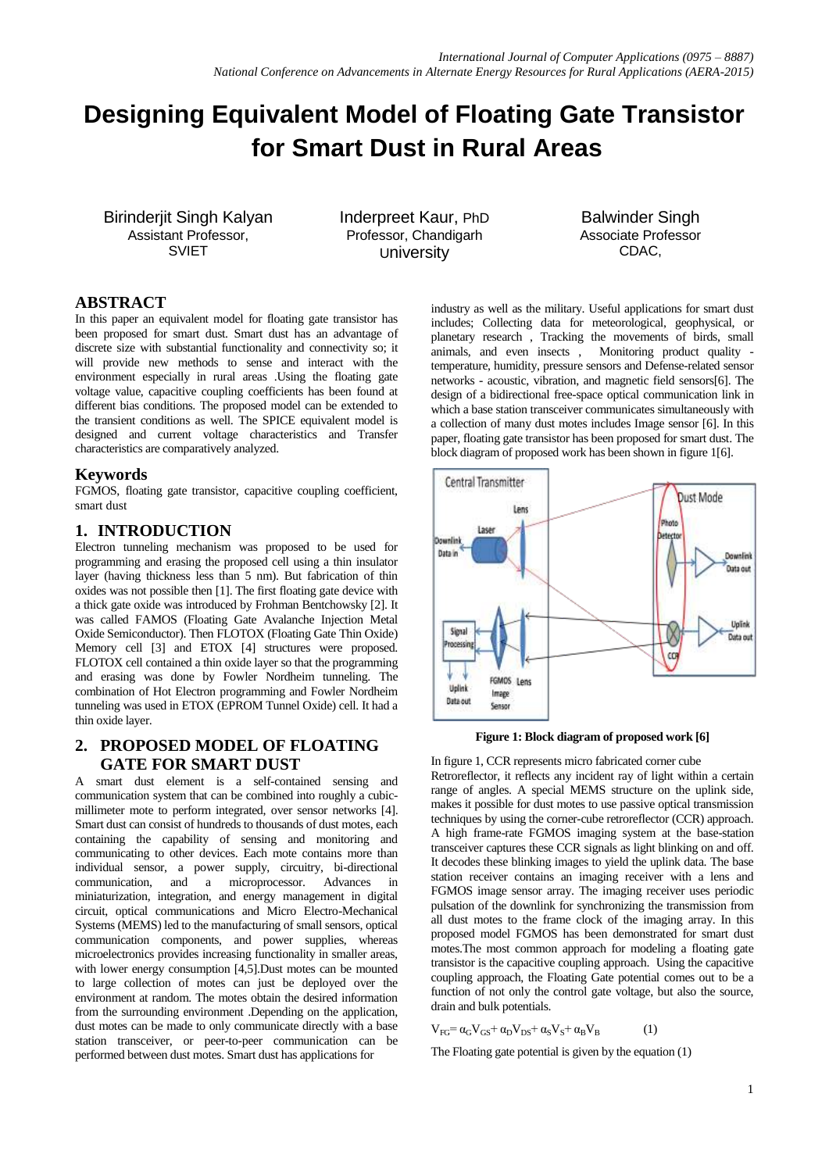# **Designing Equivalent Model of Floating Gate Transistor for Smart Dust in Rural Areas**

Birinderjit Singh Kalyan Assistant Professor, SVIET

Inderpreet Kaur, PhD Professor, Chandigarh University

Balwinder Singh Associate Professor CDAC,

# **ABSTRACT**

In this paper an equivalent model for floating gate transistor has been proposed for smart dust. Smart dust has an advantage of discrete size with substantial functionality and connectivity so; it will provide new methods to sense and interact with the environment especially in rural areas .Using the floating gate voltage value, capacitive coupling coefficients has been found at different bias conditions. The proposed model can be extended to the transient conditions as well. The SPICE equivalent model is designed and current voltage characteristics and Transfer characteristics are comparatively analyzed.

## **Keywords**

FGMOS, floating gate transistor, capacitive coupling coefficient, smart dust

# **1. INTRODUCTION**

Electron tunneling mechanism was proposed to be used for programming and erasing the proposed cell using a thin insulator layer (having thickness less than 5 nm). But fabrication of thin oxides was not possible then [1]. The first floating gate device with a thick gate oxide was introduced by Frohman Bentchowsky [2]. It was called FAMOS (Floating Gate Avalanche Injection Metal Oxide Semiconductor). Then FLOTOX (Floating Gate Thin Oxide) Memory cell [3] and ETOX [4] structures were proposed. FLOTOX cell contained a thin oxide layer so that the programming and erasing was done by Fowler Nordheim tunneling. The combination of Hot Electron programming and Fowler Nordheim tunneling was used in ETOX (EPROM Tunnel Oxide) cell. It had a thin oxide layer.

# **2. PROPOSED MODEL OF FLOATING GATE FOR SMART DUST**

A smart dust element is a self-contained sensing and communication system that can be combined into roughly a cubicmillimeter mote to perform integrated, over sensor networks [4]. Smart dust can consist of hundreds to thousands of dust motes, each containing the capability of sensing and monitoring and communicating to other devices. Each mote contains more than individual sensor, a power supply, circuitry, bi-directional communication, and a microprocessor. Advances in miniaturization, integration, and energy management in digital circuit, optical communications and Micro Electro-Mechanical Systems (MEMS) led to the manufacturing of small sensors, optical communication components, and power supplies, whereas microelectronics provides increasing functionality in smaller areas, with lower energy consumption [4,5].Dust motes can be mounted to large collection of motes can just be deployed over the environment at random. The motes obtain the desired information from the surrounding environment .Depending on the application, dust motes can be made to only communicate directly with a base station transceiver, or peer-to-peer communication can be performed between dust motes. Smart dust has applications for

industry as well as the military. Useful applications for smart dust includes; Collecting data for meteorological, geophysical, or planetary research , Tracking the movements of birds, small animals, and even insects , Monitoring product quality temperature, humidity, pressure sensors and Defense-related sensor networks - acoustic, vibration, and magnetic field sensors[6]. The design of a bidirectional free-space optical communication link in which a base station transceiver communicates simultaneously with a collection of many dust motes includes Image sensor [6]. In this paper, floating gate transistor has been proposed for smart dust. The block diagram of proposed work has been shown in figure 1[6].



**Figure 1: Block diagram of proposed work [6]**

In figure 1, CCR represents micro fabricated corner cube Retroreflector, it reflects any incident ray of light within a certain range of angles. A special MEMS structure on the uplink side. makes it possible for dust motes to use passive optical transmission techniques by using the corner-cube retroreflector (CCR) approach. A high frame-rate FGMOS imaging system at the base-station transceiver captures these CCR signals as light blinking on and off. It decodes these blinking images to yield the uplink data. The base station receiver contains an imaging receiver with a lens and FGMOS image sensor array. The imaging receiver uses periodic pulsation of the downlink for synchronizing the transmission from all dust motes to the frame clock of the imaging array. In this proposed model FGMOS has been demonstrated for smart dust motes.The most common approach for modeling a floating gate transistor is the capacitive coupling approach. Using the capacitive coupling approach, the Floating Gate potential comes out to be a function of not only the control gate voltage, but also the source, drain and bulk potentials.

 $V_{FG} = \alpha_G V_{GS} + \alpha_D V_{DS} + \alpha_S V_S + \alpha_B V_B$  (1)

The Floating gate potential is given by the equation (1)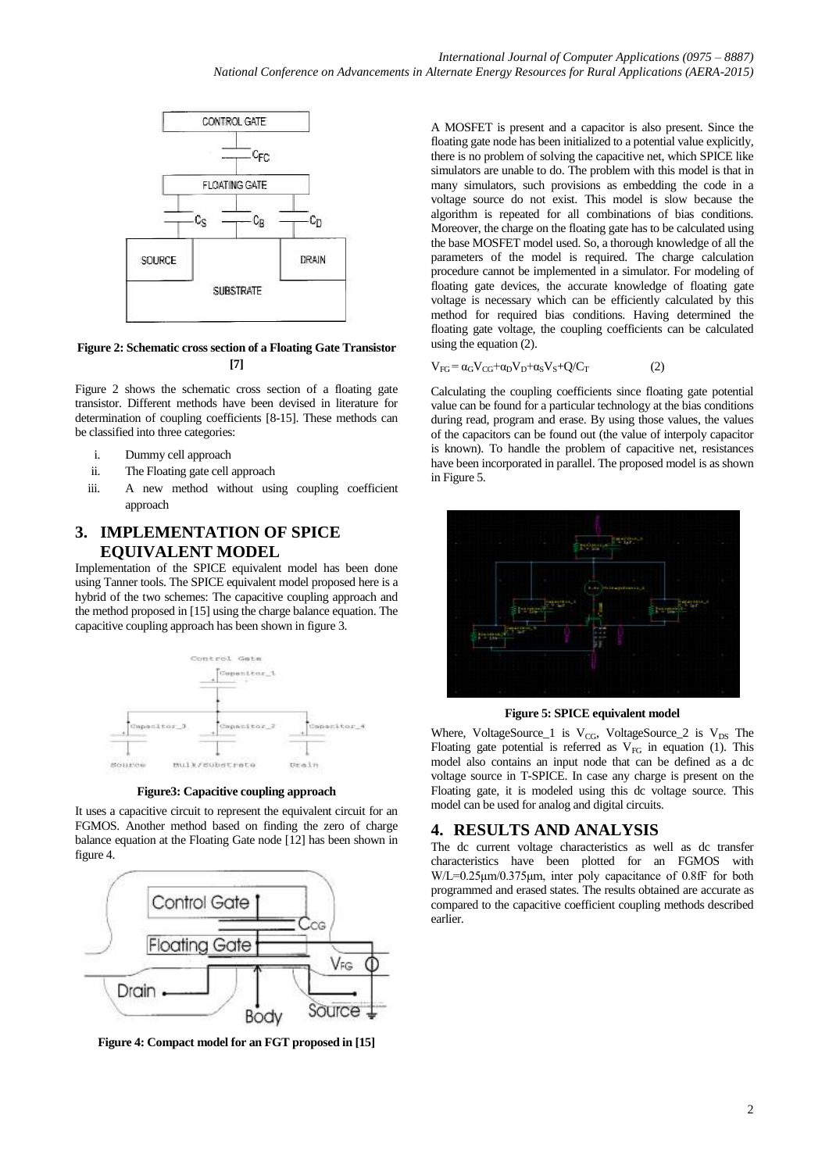

### **Figure 2: Schematic cross section of a Floating Gate Transistor [7]**

Figure 2 shows the schematic cross section of a floating gate transistor. Different methods have been devised in literature for determination of coupling coefficients [8-15]. These methods can be classified into three categories:

- i. Dummy cell approach
- ii. The Floating gate cell approach
- iii. A new method without using coupling coefficient approach

# **3. IMPLEMENTATION OF SPICE EQUIVALENT MODEL**

Implementation of the SPICE equivalent model has been done using Tanner tools. The SPICE equivalent model proposed here is a hybrid of the two schemes: The capacitive coupling approach and the method proposed in [15] using the charge balance equation. The capacitive coupling approach has been shown in figure 3.



**Figure3: Capacitive coupling approach**

It uses a capacitive circuit to represent the equivalent circuit for an FGMOS. Another method based on finding the zero of charge balance equation at the Floating Gate node [12] has been shown in figure 4.



**Figure 4: Compact model for an FGT proposed in [15]**

A MOSFET is present and a capacitor is also present. Since the floating gate node has been initialized to a potential value explicitly, there is no problem of solving the capacitive net, which SPICE like simulators are unable to do. The problem with this model is that in many simulators, such provisions as embedding the code in a voltage source do not exist. This model is slow because the algorithm is repeated for all combinations of bias conditions. Moreover, the charge on the floating gate has to be calculated using the base MOSFET model used. So, a thorough knowledge of all the parameters of the model is required. The charge calculation procedure cannot be implemented in a simulator. For modeling of floating gate devices, the accurate knowledge of floating gate voltage is necessary which can be efficiently calculated by this method for required bias conditions. Having determined the floating gate voltage, the coupling coefficients can be calculated using the equation (2).

$$
V_{FG} = \alpha_G V_{CG} + \alpha_D V_D + \alpha_S V_S + Q/C_T \tag{2}
$$

Calculating the coupling coefficients since floating gate potential value can be found for a particular technology at the bias conditions during read, program and erase. By using those values, the values of the capacitors can be found out (the value of interpoly capacitor is known). To handle the problem of capacitive net, resistances have been incorporated in parallel. The proposed model is as shown in Figure 5.



**Figure 5: SPICE equivalent model**

Where, VoltageSource\_1 is  $V_{CG}$ , VoltageSource\_2 is  $V_{DS}$  The Floating gate potential is referred as  $V_{FG}$  in equation (1). This model also contains an input node that can be defined as a dc voltage source in T-SPICE. In case any charge is present on the Floating gate, it is modeled using this dc voltage source. This model can be used for analog and digital circuits.

### **4. RESULTS AND ANALYSIS**

The dc current voltage characteristics as well as dc transfer characteristics have been plotted for an FGMOS with W/L=0.25μm/0.375μm, inter poly capacitance of 0.8fF for both programmed and erased states. The results obtained are accurate as compared to the capacitive coefficient coupling methods described earlier.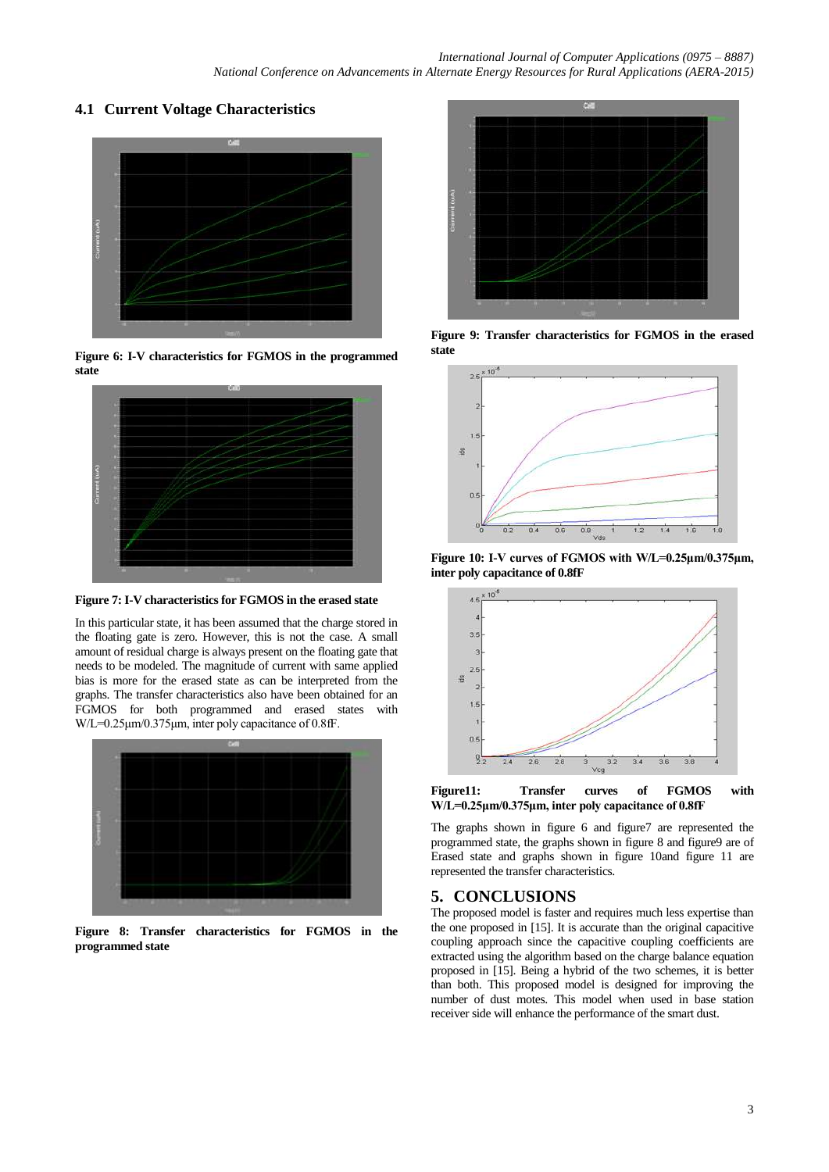# **4.1 Current Voltage Characteristics**



**Figure 6: I-V characteristics for FGMOS in the programmed state**



**Figure 7: I-V characteristics for FGMOS in the erased state**

In this particular state, it has been assumed that the charge stored in the floating gate is zero. However, this is not the case. A small amount of residual charge is always present on the floating gate that needs to be modeled. The magnitude of current with same applied bias is more for the erased state as can be interpreted from the graphs. The transfer characteristics also have been obtained for an FGMOS for both programmed and erased states with W/L=0.25μm/0.375μm, inter poly capacitance of 0.8fF.



**Figure 8: Transfer characteristics for FGMOS in the programmed state**



**Figure 9: Transfer characteristics for FGMOS in the erased state**



**Figure 10: I-V curves of FGMOS with W/L=0.25μm/0.375μm, inter poly capacitance of 0.8fF**



**Figure11: Transfer curves of FGMOS with W/L=0.25μm/0.375μm, inter poly capacitance of 0.8fF**

The graphs shown in figure 6 and figure7 are represented the programmed state, the graphs shown in figure 8 and figure9 are of Erased state and graphs shown in figure 10and figure 11 are represented the transfer characteristics.

## **5. CONCLUSIONS**

The proposed model is faster and requires much less expertise than the one proposed in [15]. It is accurate than the original capacitive coupling approach since the capacitive coupling coefficients are extracted using the algorithm based on the charge balance equation proposed in [15]. Being a hybrid of the two schemes, it is better than both. This proposed model is designed for improving the number of dust motes. This model when used in base station receiver side will enhance the performance of the smart dust.